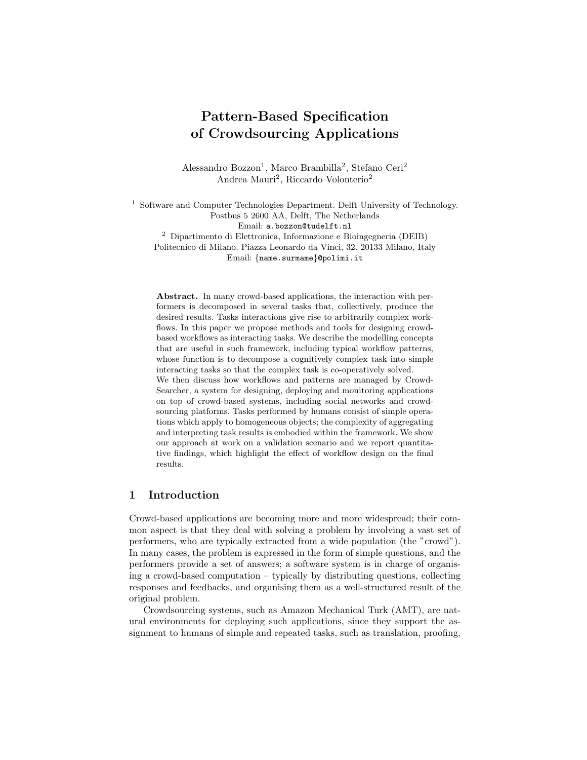# Pattern-Based Specification of Crowdsourcing Applications

Alessandro Bozzon<sup>1</sup>, Marco Brambilla<sup>2</sup>, Stefano Ceri<sup>2</sup> Andrea Mauri<sup>2</sup>, Riccardo Volonterio<sup>2</sup>

<sup>1</sup> Software and Computer Technologies Department. Delft University of Technology. Postbus 5 2600 AA, Delft, The Netherlands Email: a.bozzon@tudelft.nl <sup>2</sup> Dipartimento di Elettronica, Informazione e Bioingegneria (DEIB) Politecnico di Milano. Piazza Leonardo da Vinci, 32. 20133 Milano, Italy

Email: {name.surmame}@polimi.it

Abstract. In many crowd-based applications, the interaction with performers is decomposed in several tasks that, collectively, produce the desired results. Tasks interactions give rise to arbitrarily complex workflows. In this paper we propose methods and tools for designing crowdbased workflows as interacting tasks. We describe the modelling concepts that are useful in such framework, including typical workflow patterns, whose function is to decompose a cognitively complex task into simple interacting tasks so that the complex task is co-operatively solved. We then discuss how workflows and patterns are managed by Crowd-Searcher, a system for designing, deploying and monitoring applications on top of crowd-based systems, including social networks and crowdsourcing platforms. Tasks performed by humans consist of simple operations which apply to homogeneous objects; the complexity of aggregating and interpreting task results is embodied within the framework. We show our approach at work on a validation scenario and we report quantitative findings, which highlight the effect of workflow design on the final results.

# 1 Introduction

Crowd-based applications are becoming more and more widespread; their common aspect is that they deal with solving a problem by involving a vast set of performers, who are typically extracted from a wide population (the "crowd"). In many cases, the problem is expressed in the form of simple questions, and the performers provide a set of answers; a software system is in charge of organising a crowd-based computation – typically by distributing questions, collecting responses and feedbacks, and organising them as a well-structured result of the original problem.

Crowdsourcing systems, such as Amazon Mechanical Turk (AMT), are natural environments for deploying such applications, since they support the assignment to humans of simple and repeated tasks, such as translation, proofing,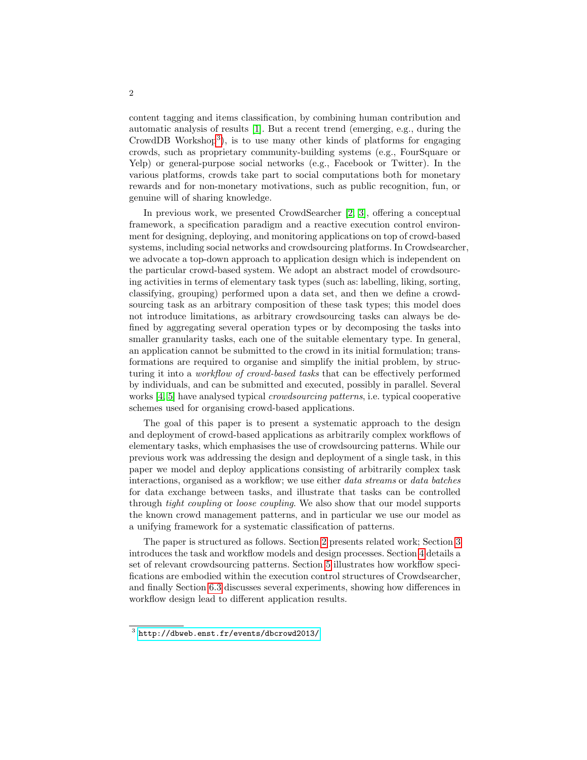content tagging and items classification, by combining human contribution and automatic analysis of results [\[1\]](#page-16-0). But a recent trend (emerging, e.g., during the CrowdDB Workshop<sup>[3](#page-1-0)</sup>), is to use many other kinds of platforms for engaging crowds, such as proprietary community-building systems (e.g., FourSquare or Yelp) or general-purpose social networks (e.g., Facebook or Twitter). In the various platforms, crowds take part to social computations both for monetary rewards and for non-monetary motivations, such as public recognition, fun, or genuine will of sharing knowledge.

In previous work, we presented CrowdSearcher [\[2,](#page-16-1) [3\]](#page-16-2), offering a conceptual framework, a specification paradigm and a reactive execution control environment for designing, deploying, and monitoring applications on top of crowd-based systems, including social networks and crowdsourcing platforms. In Crowdsearcher, we advocate a top-down approach to application design which is independent on the particular crowd-based system. We adopt an abstract model of crowdsourcing activities in terms of elementary task types (such as: labelling, liking, sorting, classifying, grouping) performed upon a data set, and then we define a crowdsourcing task as an arbitrary composition of these task types; this model does not introduce limitations, as arbitrary crowdsourcing tasks can always be defined by aggregating several operation types or by decomposing the tasks into smaller granularity tasks, each one of the suitable elementary type. In general, an application cannot be submitted to the crowd in its initial formulation; transformations are required to organise and simplify the initial problem, by structuring it into a workflow of crowd-based tasks that can be effectively performed by individuals, and can be submitted and executed, possibly in parallel. Several works [\[4,](#page-16-3) [5\]](#page-17-0) have analysed typical crowdsourcing patterns, i.e. typical cooperative schemes used for organising crowd-based applications.

The goal of this paper is to present a systematic approach to the design and deployment of crowd-based applications as arbitrarily complex workflows of elementary tasks, which emphasises the use of crowdsourcing patterns. While our previous work was addressing the design and deployment of a single task, in this paper we model and deploy applications consisting of arbitrarily complex task interactions, organised as a workflow; we use either data streams or data batches for data exchange between tasks, and illustrate that tasks can be controlled through tight coupling or loose coupling. We also show that our model supports the known crowd management patterns, and in particular we use our model as a unifying framework for a systematic classification of patterns.

The paper is structured as follows. Section [2](#page-2-0) presents related work; Section [3](#page-3-0) introduces the task and workflow models and design processes. Section [4](#page-6-0) details a set of relevant crowdsourcing patterns. Section [5](#page-10-0) illustrates how workflow specifications are embodied within the execution control structures of Crowdsearcher, and finally Section [6.3](#page-14-0) discusses several experiments, showing how differences in workflow design lead to different application results.

<span id="page-1-0"></span> $^3$  <http://dbweb.enst.fr/events/dbcrowd2013/>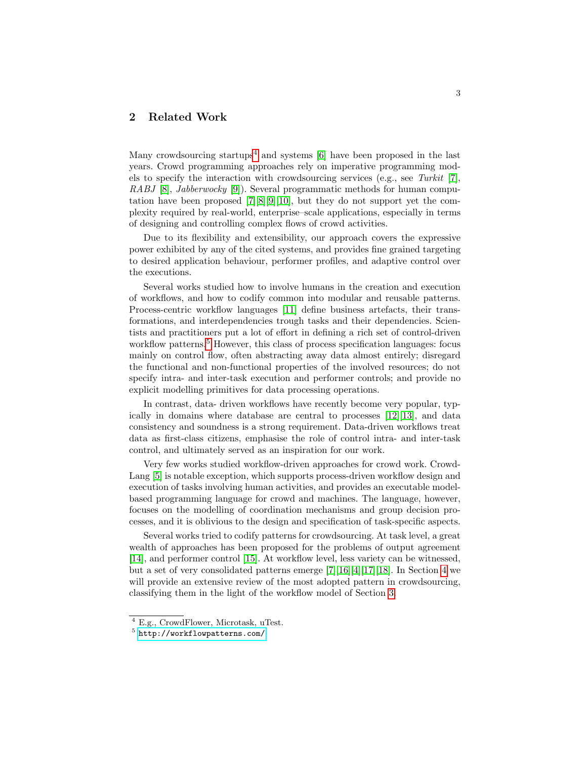# <span id="page-2-0"></span>2 Related Work

Many crowdsourcing startups<sup>[4](#page-2-1)</sup> and systems  $[6]$  have been proposed in the last years. Crowd programming approaches rely on imperative programming models to specify the interaction with crowdsourcing services (e.g., see Turkit [\[7\]](#page-17-2), RABJ [\[8\]](#page-17-3), Jabberwocky [\[9\]](#page-17-4)). Several programmatic methods for human computation have been proposed [\[7\]](#page-17-2)[\[8\]](#page-17-3)[\[9\]](#page-17-4)[\[10\]](#page-17-5), but they do not support yet the complexity required by real-world, enterprise–scale applications, especially in terms of designing and controlling complex flows of crowd activities.

Due to its flexibility and extensibility, our approach covers the expressive power exhibited by any of the cited systems, and provides fine grained targeting to desired application behaviour, performer profiles, and adaptive control over the executions.

Several works studied how to involve humans in the creation and execution of workflows, and how to codify common into modular and reusable patterns. Process-centric workflow languages [\[11\]](#page-17-6) define business artefacts, their transformations, and interdependencies trough tasks and their dependencies. Scientists and practitioners put a lot of effort in defining a rich set of control-driven workflow patterns.<sup>[5](#page-2-2)</sup> However, this class of process specification languages: focus mainly on control flow, often abstracting away data almost entirely; disregard the functional and non-functional properties of the involved resources; do not specify intra- and inter-task execution and performer controls; and provide no explicit modelling primitives for data processing operations.

In contrast, data- driven workflows have recently become very popular, typically in domains where database are central to processes [\[12\]](#page-17-7)[\[13\]](#page-17-8), and data consistency and soundness is a strong requirement. Data-driven workflows treat data as first-class citizens, emphasise the role of control intra- and inter-task control, and ultimately served as an inspiration for our work.

Very few works studied workflow-driven approaches for crowd work. Crowd-Lang [\[5\]](#page-17-0) is notable exception, which supports process-driven workflow design and execution of tasks involving human activities, and provides an executable modelbased programming language for crowd and machines. The language, however, focuses on the modelling of coordination mechanisms and group decision processes, and it is oblivious to the design and specification of task-specific aspects.

Several works tried to codify patterns for crowdsourcing. At task level, a great wealth of approaches has been proposed for the problems of output agreement [\[14\]](#page-17-9), and performer control [\[15\]](#page-17-10). At workflow level, less variety can be witnessed, but a set of very consolidated patterns emerge [\[7\]](#page-17-2)[\[16\]](#page-17-11)[\[4\]](#page-16-3)[\[17\]](#page-17-12)[\[18\]](#page-17-13). In Section [4](#page-6-0) we will provide an extensive review of the most adopted pattern in crowdsourcing, classifying them in the light of the workflow model of Section [3.](#page-3-0)

<span id="page-2-1"></span><sup>4</sup> E.g., CrowdFlower, Microtask, uTest.

<span id="page-2-2"></span><sup>5</sup> <http://workflowpatterns.com/>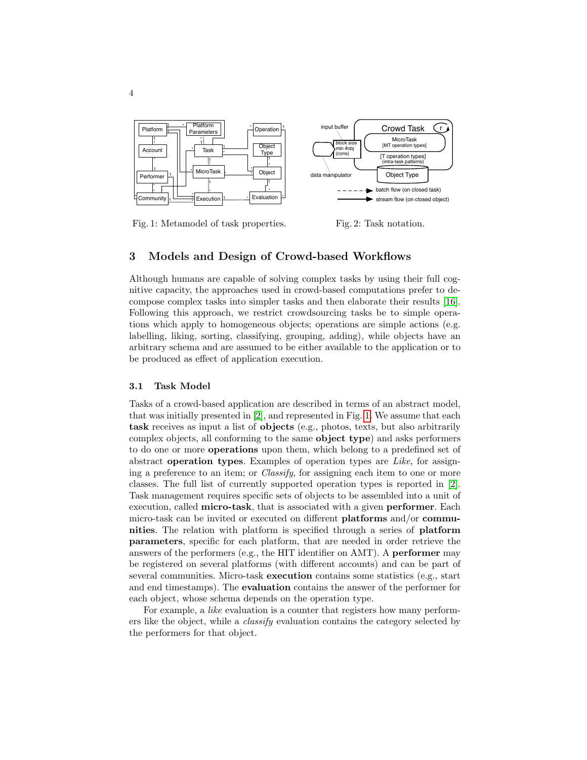<span id="page-3-1"></span>

Fig. 1: Metamodel of task properties.

Fig. 2: Task notation.

# <span id="page-3-0"></span>3 Models and Design of Crowd-based Workflows

Although humans are capable of solving complex tasks by using their full cognitive capacity, the approaches used in crowd-based computations prefer to decompose complex tasks into simpler tasks and then elaborate their results [\[16\]](#page-17-11). Following this approach, we restrict crowdsourcing tasks be to simple operations which apply to homogeneous objects; operations are simple actions (e.g. labelling, liking, sorting, classifying, grouping, adding), while objects have an arbitrary schema and are assumed to be either available to the application or to be produced as effect of application execution.

## <span id="page-3-2"></span>3.1 Task Model

Tasks of a crowd-based application are described in terms of an abstract model, that was initially presented in [\[2\]](#page-16-1), and represented in Fig. [1.](#page-3-1) We assume that each task receives as input a list of objects (e.g., photos, texts, but also arbitrarily complex objects, all conforming to the same object type) and asks performers to do one or more operations upon them, which belong to a predefined set of abstract operation types. Examples of operation types are Like, for assigning a preference to an item; or *Classify*, for assigning each item to one or more classes. The full list of currently supported operation types is reported in [\[2\]](#page-16-1). Task management requires specific sets of objects to be assembled into a unit of execution, called micro-task, that is associated with a given performer. Each micro-task can be invited or executed on different platforms and/or communities. The relation with platform is specified through a series of platform parameters, specific for each platform, that are needed in order retrieve the answers of the performers (e.g., the HIT identifier on AMT). A performer may be registered on several platforms (with different accounts) and can be part of several communities. Micro-task execution contains some statistics (e.g., start and end timestamps). The evaluation contains the answer of the performer for each object, whose schema depends on the operation type.

For example, a *like* evaluation is a counter that registers how many performers like the object, while a classify evaluation contains the category selected by the performers for that object.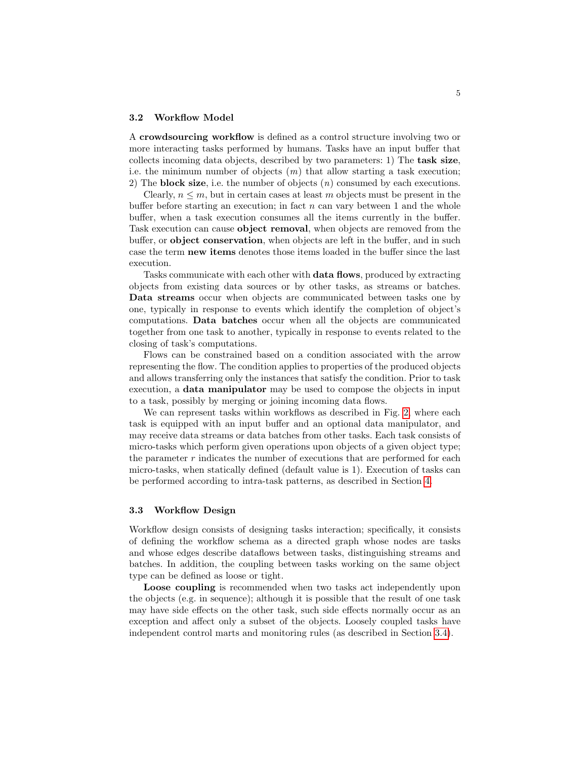#### 3.2 Workflow Model

A crowdsourcing workflow is defined as a control structure involving two or more interacting tasks performed by humans. Tasks have an input buffer that collects incoming data objects, described by two parameters: 1) The task size, i.e. the minimum number of objects  $(m)$  that allow starting a task execution; 2) The **block size**, i.e. the number of objects  $(n)$  consumed by each executions.

Clearly,  $n \leq m$ , but in certain cases at least m objects must be present in the buffer before starting an execution; in fact  $n$  can vary between 1 and the whole buffer, when a task execution consumes all the items currently in the buffer. Task execution can cause object removal, when objects are removed from the buffer, or **object conservation**, when objects are left in the buffer, and in such case the term new items denotes those items loaded in the buffer since the last execution.

Tasks communicate with each other with data flows, produced by extracting objects from existing data sources or by other tasks, as streams or batches. Data streams occur when objects are communicated between tasks one by one, typically in response to events which identify the completion of object's computations. Data batches occur when all the objects are communicated together from one task to another, typically in response to events related to the closing of task's computations.

Flows can be constrained based on a condition associated with the arrow representing the flow. The condition applies to properties of the produced objects and allows transferring only the instances that satisfy the condition. Prior to task execution, a data manipulator may be used to compose the objects in input to a task, possibly by merging or joining incoming data flows.

We can represent tasks within workflows as described in Fig. [2,](#page-3-1) where each task is equipped with an input buffer and an optional data manipulator, and may receive data streams or data batches from other tasks. Each task consists of micro-tasks which perform given operations upon objects of a given object type; the parameter  $r$  indicates the number of executions that are performed for each micro-tasks, when statically defined (default value is 1). Execution of tasks can be performed according to intra-task patterns, as described in Section [4.](#page-6-0)

## 3.3 Workflow Design

Workflow design consists of designing tasks interaction; specifically, it consists of defining the workflow schema as a directed graph whose nodes are tasks and whose edges describe dataflows between tasks, distinguishing streams and batches. In addition, the coupling between tasks working on the same object type can be defined as loose or tight.

Loose coupling is recommended when two tasks act independently upon the objects (e.g. in sequence); although it is possible that the result of one task may have side effects on the other task, such side effects normally occur as an exception and affect only a subset of the objects. Loosely coupled tasks have independent control marts and monitoring rules (as described in Section [3.4\)](#page-5-0).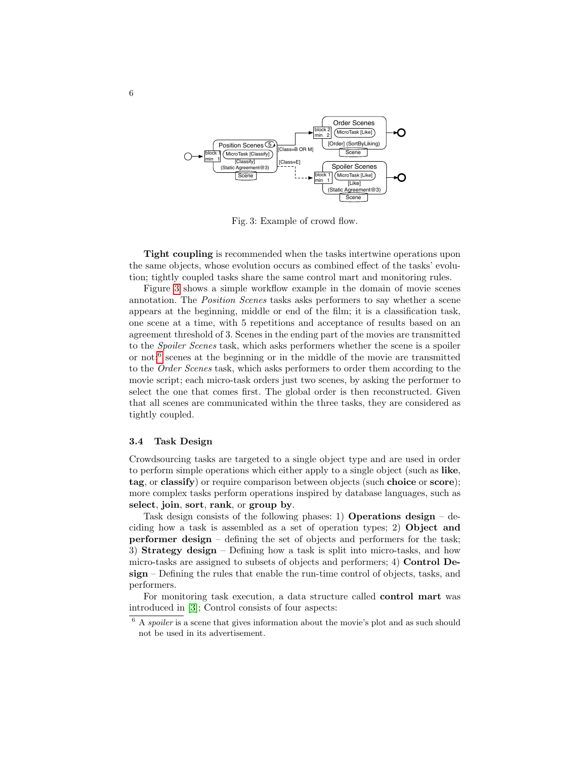<span id="page-5-1"></span>

Fig. 3: Example of crowd flow.

Tight coupling is recommended when the tasks intertwine operations upon the same objects, whose evolution occurs as combined effect of the tasks' evolution; tightly coupled tasks share the same control mart and monitoring rules.

Figure [3](#page-5-1) shows a simple workflow example in the domain of movie scenes annotation. The *Position Scenes* tasks asks performers to say whether a scene appears at the beginning, middle or end of the film; it is a classification task, one scene at a time, with 5 repetitions and acceptance of results based on an agreement threshold of 3. Scenes in the ending part of the movies are transmitted to the Spoiler Scenes task, which asks performers whether the scene is a spoiler or not;[6](#page-5-2) scenes at the beginning or in the middle of the movie are transmitted to the Order Scenes task, which asks performers to order them according to the movie script; each micro-task orders just two scenes, by asking the performer to select the one that comes first. The global order is then reconstructed. Given that all scenes are communicated within the three tasks, they are considered as tightly coupled.

## <span id="page-5-0"></span>3.4 Task Design

Crowdsourcing tasks are targeted to a single object type and are used in order to perform simple operations which either apply to a single object (such as like, tag, or classify) or require comparison between objects (such choice or score); more complex tasks perform operations inspired by database languages, such as select, join, sort, rank, or group by.

Task design consists of the following phases: 1) **Operations design** – deciding how a task is assembled as a set of operation types; 2) Object and performer design – defining the set of objects and performers for the task; 3) Strategy design – Defining how a task is split into micro-tasks, and how micro-tasks are assigned to subsets of objects and performers; 4) Control Design – Defining the rules that enable the run-time control of objects, tasks, and performers.

For monitoring task execution, a data structure called control mart was introduced in [\[3\]](#page-16-2); Control consists of four aspects:

<span id="page-5-2"></span> $6$  A *spoiler* is a scene that gives information about the movie's plot and as such should not be used in its advertisement.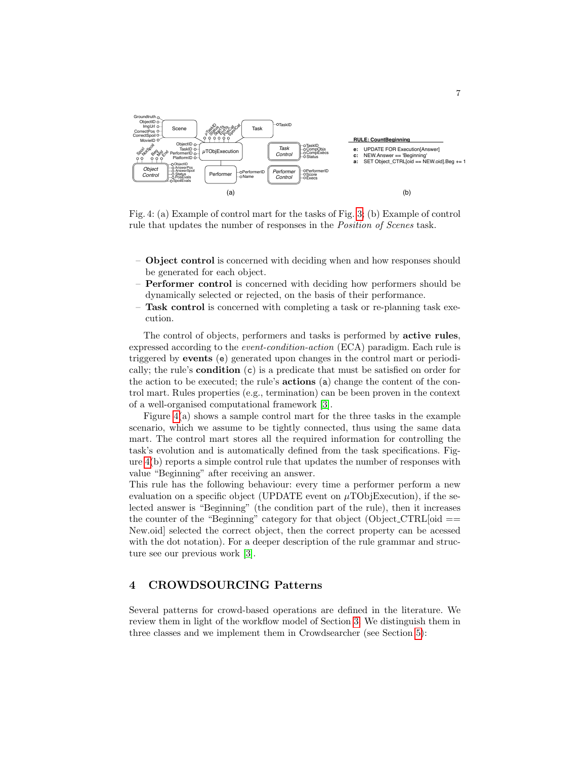<span id="page-6-1"></span>

Fig. 4: (a) Example of control mart for the tasks of Fig. [3;](#page-5-1) (b) Example of control rule that updates the number of responses in the *Position of Scenes* task.

- Object control is concerned with deciding when and how responses should be generated for each object.
- Performer control is concerned with deciding how performers should be dynamically selected or rejected, on the basis of their performance.
- Task control is concerned with completing a task or re-planning task execution.

The control of objects, performers and tasks is performed by active rules, expressed according to the event-condition-action (ECA) paradigm. Each rule is triggered by events (e) generated upon changes in the control mart or periodically; the rule's condition (c) is a predicate that must be satisfied on order for the action to be executed; the rule's actions (a) change the content of the control mart. Rules properties (e.g., termination) can be been proven in the context of a well-organised computational framework [\[3\]](#page-16-2).

Figure [4\(](#page-6-1)a) shows a sample control mart for the three tasks in the example scenario, which we assume to be tightly connected, thus using the same data mart. The control mart stores all the required information for controlling the task's evolution and is automatically defined from the task specifications. Figure [4\(](#page-6-1)b) reports a simple control rule that updates the number of responses with value "Beginning" after receiving an answer.

This rule has the following behaviour: every time a performer perform a new evaluation on a specific object (UPDATE event on  $\mu\text{TObi}$ ). If the selected answer is "Beginning" (the condition part of the rule), then it increases the counter of the "Beginning" category for that object (Object\_CTRL[oid  $==$ New.oid] selected the correct object, then the correct property can be acessed with the dot notation). For a deeper description of the rule grammar and structure see our previous work [\[3\]](#page-16-2).

# <span id="page-6-0"></span>4 CROWDSOURCING Patterns

Several patterns for crowd-based operations are defined in the literature. We review them in light of the workflow model of Section [3.](#page-3-0) We distinguish them in three classes and we implement them in Crowdsearcher (see Section [5\)](#page-10-0):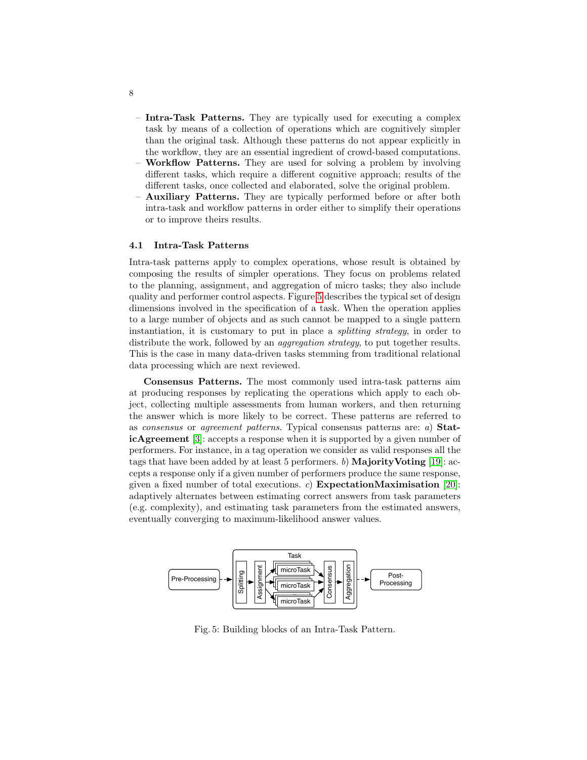- Intra-Task Patterns. They are typically used for executing a complex task by means of a collection of operations which are cognitively simpler than the original task. Although these patterns do not appear explicitly in the workflow, they are an essential ingredient of crowd-based computations.
- Workflow Patterns. They are used for solving a problem by involving different tasks, which require a different cognitive approach; results of the different tasks, once collected and elaborated, solve the original problem.
- Auxiliary Patterns. They are typically performed before or after both intra-task and workflow patterns in order either to simplify their operations or to improve theirs results.

### 4.1 Intra-Task Patterns

Intra-task patterns apply to complex operations, whose result is obtained by composing the results of simpler operations. They focus on problems related to the planning, assignment, and aggregation of micro tasks; they also include quality and performer control aspects. Figure [5](#page-7-0) describes the typical set of design dimensions involved in the specification of a task. When the operation applies to a large number of objects and as such cannot be mapped to a single pattern instantiation, it is customary to put in place a splitting strategy, in order to distribute the work, followed by an *aggregation strategy*, to put together results. This is the case in many data-driven tasks stemming from traditional relational data processing which are next reviewed.

Consensus Patterns. The most commonly used intra-task patterns aim at producing responses by replicating the operations which apply to each object, collecting multiple assessments from human workers, and then returning the answer which is more likely to be correct. These patterns are referred to as consensus or agreement patterns. Typical consensus patterns are: a) StaticAgreement [\[3\]](#page-16-2): accepts a response when it is supported by a given number of performers. For instance, in a tag operation we consider as valid responses all the tags that have been added by at least 5 performers. b) **Majority Voting** [\[19\]](#page-17-14): accepts a response only if a given number of performers produce the same response, given a fixed number of total executions.  $c$ ) **ExpectationMaximisation** [\[20\]](#page-17-15): adaptively alternates between estimating correct answers from task parameters (e.g. complexity), and estimating task parameters from the estimated answers, eventually converging to maximum-likelihood answer values.

<span id="page-7-0"></span>

Fig. 5: Building blocks of an Intra-Task Pattern.

8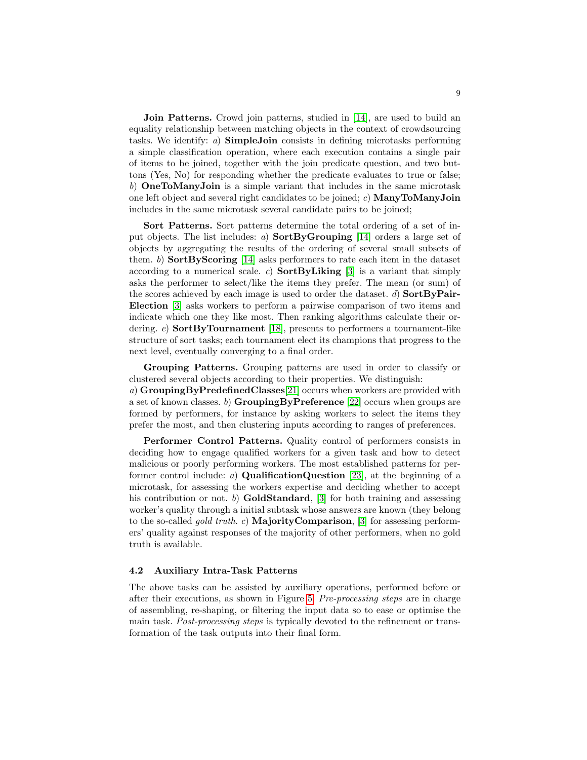**Join Patterns.** Crowd join patterns, studied in [\[14\]](#page-17-9), are used to build an equality relationship between matching objects in the context of crowdsourcing tasks. We identify: a) **SimpleJoin** consists in defining microtasks performing a simple classification operation, where each execution contains a single pair of items to be joined, together with the join predicate question, and two buttons (Yes, No) for responding whether the predicate evaluates to true or false;  $b)$  **OneToManyJoin** is a simple variant that includes in the same microtask one left object and several right candidates to be joined; c) **ManyToManyJoin** includes in the same microtask several candidate pairs to be joined;

Sort Patterns. Sort patterns determine the total ordering of a set of input objects. The list includes: a) SortByGrouping [\[14\]](#page-17-9) orders a large set of objects by aggregating the results of the ordering of several small subsets of them. b) **SortByScoring** [\[14\]](#page-17-9) asks performers to rate each item in the dataset according to a numerical scale. c) **SortByLiking** [\[3\]](#page-16-2) is a variant that simply asks the performer to select/like the items they prefer. The mean (or sum) of the scores achieved by each image is used to order the dataset.  $d$ ) **SortByPair-**Election [\[3\]](#page-16-2) asks workers to perform a pairwise comparison of two items and indicate which one they like most. Then ranking algorithms calculate their ordering. e) **SortByTournament** [\[18\]](#page-17-13), presents to performers a tournament-like structure of sort tasks; each tournament elect its champions that progress to the next level, eventually converging to a final order.

Grouping Patterns. Grouping patterns are used in order to classify or clustered several objects according to their properties. We distinguish:

a) GroupingByPredefinedClasses[\[21\]](#page-17-16) occurs when workers are provided with a set of known classes. b) GroupingByPreference  $[22]$  occurs when groups are formed by performers, for instance by asking workers to select the items they prefer the most, and then clustering inputs according to ranges of preferences.

Performer Control Patterns. Quality control of performers consists in deciding how to engage qualified workers for a given task and how to detect malicious or poorly performing workers. The most established patterns for performer control include: a) **QualificationQuestion** [\[23\]](#page-17-18), at the beginning of a microtask, for assessing the workers expertise and deciding whether to accept his contribution or not. b) **GoldStandard**, [\[3\]](#page-16-2) for both training and assessing worker's quality through a initial subtask whose answers are known (they belong to the so-called *gold truth. c*) **MajorityComparison**, [\[3\]](#page-16-2) for assessing performers' quality against responses of the majority of other performers, when no gold truth is available.

# 4.2 Auxiliary Intra-Task Patterns

The above tasks can be assisted by auxiliary operations, performed before or after their executions, as shown in Figure [5.](#page-7-0) Pre-processing steps are in charge of assembling, re-shaping, or filtering the input data so to ease or optimise the main task. Post-processing steps is typically devoted to the refinement or transformation of the task outputs into their final form.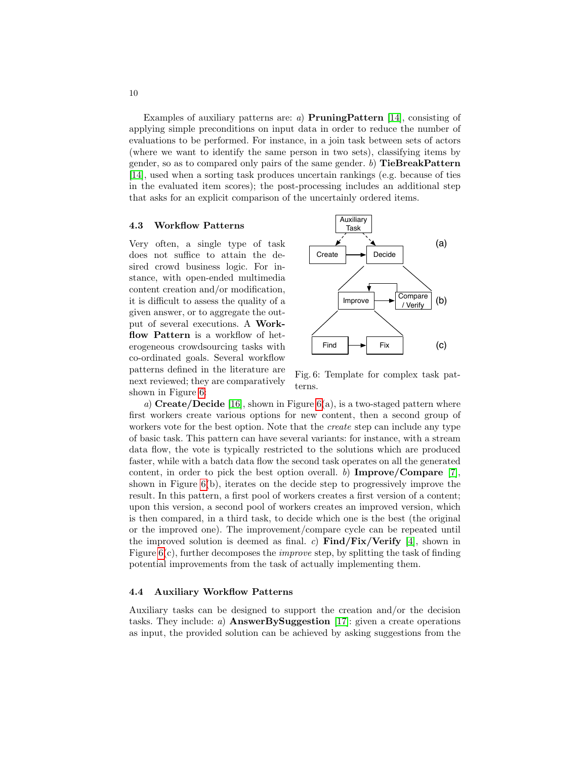Examples of auxiliary patterns are: a) **PruningPattern** [\[14\]](#page-17-9), consisting of applying simple preconditions on input data in order to reduce the number of evaluations to be performed. For instance, in a join task between sets of actors (where we want to identify the same person in two sets), classifying items by gender, so as to compared only pairs of the same gender.  $b$ ) TieBreakPattern [\[14\]](#page-17-9), used when a sorting task produces uncertain rankings (e.g. because of ties in the evaluated item scores); the post-processing includes an additional step that asks for an explicit comparison of the uncertainly ordered items.

#### 4.3 Workflow Patterns

Very often, a single type of task does not suffice to attain the desired crowd business logic. For instance, with open-ended multimedia content creation and/or modification, it is difficult to assess the quality of a given answer, or to aggregate the output of several executions. A Workflow Pattern is a workflow of heterogeneous crowdsourcing tasks with co-ordinated goals. Several workflow patterns defined in the literature are next reviewed; they are comparatively shown in Figure [6:](#page-9-0)

<span id="page-9-0"></span>

Fig. 6: Template for complex task patterns.

a) Create/Decide [\[16\]](#page-17-11), shown in Figure  $6(a)$ , is a two-staged pattern where first workers create various options for new content, then a second group of workers vote for the best option. Note that the *create* step can include any type of basic task. This pattern can have several variants: for instance, with a stream data flow, the vote is typically restricted to the solutions which are produced faster, while with a batch data flow the second task operates on all the generated content, in order to pick the best option overall. b) **Improve**/**Compare** [\[7\]](#page-17-2), shown in Figure [6\(](#page-9-0)b), iterates on the decide step to progressively improve the result. In this pattern, a first pool of workers creates a first version of a content; upon this version, a second pool of workers creates an improved version, which is then compared, in a third task, to decide which one is the best (the original or the improved one). The improvement/compare cycle can be repeated until the improved solution is deemed as final. c)  $\text{Find/Fix/Verify}$  [\[4\]](#page-16-3), shown in Figure  $6(c)$ , further decomposes the *improve* step, by splitting the task of finding potential improvements from the task of actually implementing them.

### 4.4 Auxiliary Workflow Patterns

Auxiliary tasks can be designed to support the creation and/or the decision tasks. They include: a) **AnswerBySuggestion** [\[17\]](#page-17-12): given a create operations as input, the provided solution can be achieved by asking suggestions from the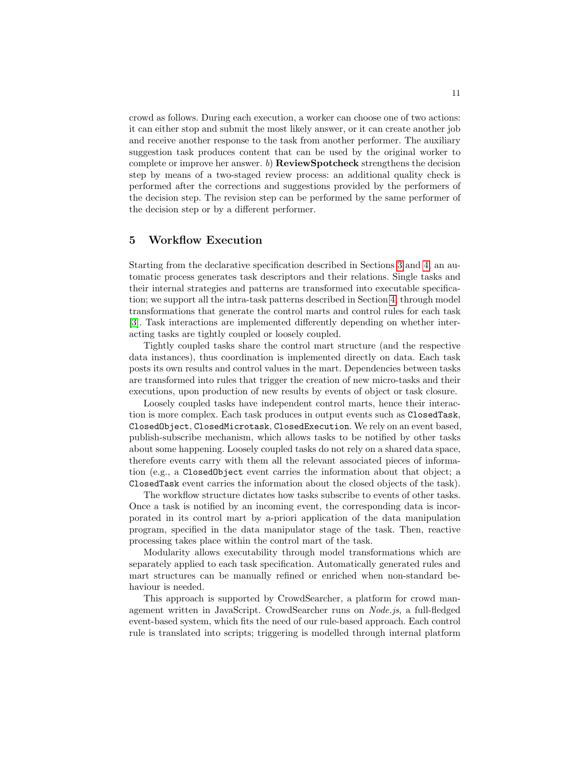crowd as follows. During each execution, a worker can choose one of two actions: it can either stop and submit the most likely answer, or it can create another job and receive another response to the task from another performer. The auxiliary suggestion task produces content that can be used by the original worker to complete or improve her answer. b) **ReviewSpotcheck** strengthens the decision step by means of a two-staged review process: an additional quality check is performed after the corrections and suggestions provided by the performers of the decision step. The revision step can be performed by the same performer of the decision step or by a different performer.

# <span id="page-10-0"></span>5 Workflow Execution

Starting from the declarative specification described in Sections [3](#page-3-0) and [4,](#page-6-0) an automatic process generates task descriptors and their relations. Single tasks and their internal strategies and patterns are transformed into executable specification; we support all the intra-task patterns described in Section [4,](#page-6-0) through model transformations that generate the control marts and control rules for each task [\[3\]](#page-16-2). Task interactions are implemented differently depending on whether interacting tasks are tightly coupled or loosely coupled.

Tightly coupled tasks share the control mart structure (and the respective data instances), thus coordination is implemented directly on data. Each task posts its own results and control values in the mart. Dependencies between tasks are transformed into rules that trigger the creation of new micro-tasks and their executions, upon production of new results by events of object or task closure.

Loosely coupled tasks have independent control marts, hence their interaction is more complex. Each task produces in output events such as ClosedTask, ClosedObject, ClosedMicrotask, ClosedExecution. We rely on an event based, publish-subscribe mechanism, which allows tasks to be notified by other tasks about some happening. Loosely coupled tasks do not rely on a shared data space, therefore events carry with them all the relevant associated pieces of information (e.g., a ClosedObject event carries the information about that object; a ClosedTask event carries the information about the closed objects of the task).

The workflow structure dictates how tasks subscribe to events of other tasks. Once a task is notified by an incoming event, the corresponding data is incorporated in its control mart by a-priori application of the data manipulation program, specified in the data manipulator stage of the task. Then, reactive processing takes place within the control mart of the task.

Modularity allows executability through model transformations which are separately applied to each task specification. Automatically generated rules and mart structures can be manually refined or enriched when non-standard behaviour is needed.

This approach is supported by CrowdSearcher, a platform for crowd management written in JavaScript. CrowdSearcher runs on Node.js, a full-fledged event-based system, which fits the need of our rule-based approach. Each control rule is translated into scripts; triggering is modelled through internal platform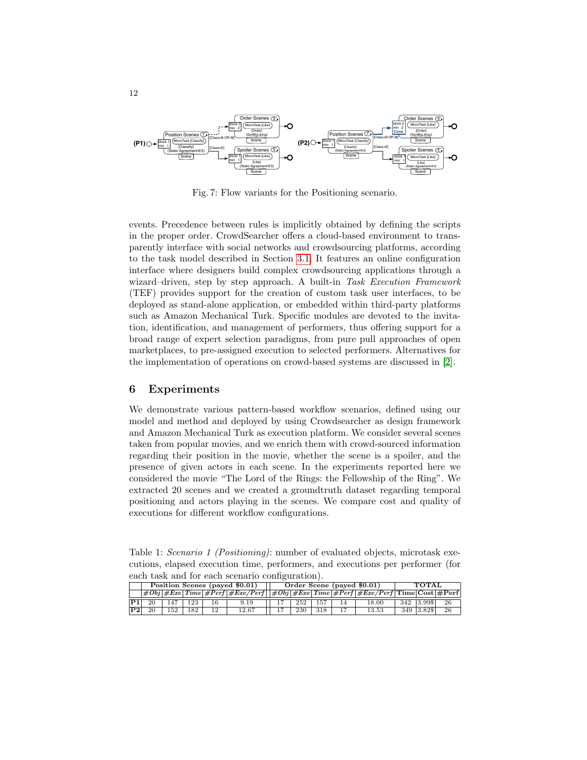<span id="page-11-0"></span>

Fig. 7: Flow variants for the Positioning scenario.

events. Precedence between rules is implicitly obtained by defining the scripts in the proper order. CrowdSearcher offers a cloud-based environment to transparently interface with social networks and crowdsourcing platforms, according to the task model described in Section [3.1.](#page-3-2) It features an online configuration interface where designers build complex crowdsourcing applications through a wizard–driven, step by step approach. A built-in Task Execution Framework (TEF) provides support for the creation of custom task user interfaces, to be deployed as stand-alone application, or embedded within third-party platforms such as Amazon Mechanical Turk. Specific modules are devoted to the invitation, identification, and management of performers, thus offering support for a broad range of expert selection paradigms, from pure pull approaches of open marketplaces, to pre-assigned execution to selected performers. Alternatives for the implementation of operations on crowd-based systems are discussed in [\[2\]](#page-16-1).

# 6 Experiments

We demonstrate various pattern-based workflow scenarios, defined using our model and method and deployed by using Crowdsearcher as design framework and Amazon Mechanical Turk as execution platform. We consider several scenes taken from popular movies, and we enrich them with crowd-sourced information regarding their position in the movie, whether the scene is a spoiler, and the presence of given actors in each scene. In the experiments reported here we considered the movie "The Lord of the Rings: the Fellowship of the Ring". We extracted 20 scenes and we created a groundtruth dataset regarding temporal positioning and actors playing in the scenes. We compare cost and quality of executions for different workflow configurations.

<span id="page-11-1"></span>Table 1: Scenario 1 (Positioning): number of evaluated objects, microtask executions, elapsed execution time, performers, and executions per performer (for each task and for each scenario configuration).

|    | Position Scenes (payed \$0.01) |       |       |     |                                                                                                                         | Order Scene (payed \$0.01) |     |             |     |       |  | TOTAL      |     |
|----|--------------------------------|-------|-------|-----|-------------------------------------------------------------------------------------------------------------------------|----------------------------|-----|-------------|-----|-------|--|------------|-----|
|    |                                |       |       |     | $\ket{\#Obj \#Exec \Time \#Perf \#Exec/Perf}$   $\#\textit{Obj} \#Exc \Time \#Perf \#Exe/Perf \Time \text{Cost} \#Perf$ |                            |     |             |     |       |  |            |     |
|    | 20                             | 147 l | 123 l | -16 | 9.19                                                                                                                    |                            |     | $252$   157 | -14 | 18.00 |  | 342 3.99\$ | -26 |
| P2 | 20                             | 152   | 182   |     | 12.67                                                                                                                   |                            | 230 | 318         |     | 13.53 |  | 349 3.828  | 26  |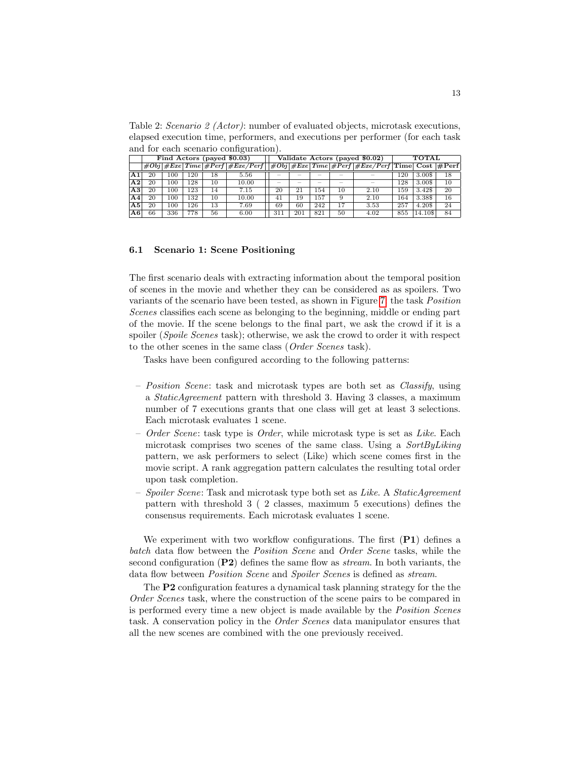<span id="page-12-0"></span>Table 2: Scenario 2 (Actor): number of evaluated objects, microtask executions, elapsed execution time, performers, and executions per performer (for each task and for each scenario configuration).

|                | Find Actors (payed \$0.03) |     |     |    |                                               | Validate Actors (payed \$0.02) | <b>TOTAL</b> |     |    |                                                             |     |         |    |
|----------------|----------------------------|-----|-----|----|-----------------------------------------------|--------------------------------|--------------|-----|----|-------------------------------------------------------------|-----|---------|----|
|                |                            |     |     |    | $#Obj   \#Exe   Time   \#Perf   \#Exe/Perf  $ |                                |              |     |    | $ \#Obj  \#Exe Time  \#Perf  \#Exe/Perf Time  Cost  \#Perf$ |     |         |    |
| A1             | 20                         | 100 | 120 | 18 | 5.56                                          |                                |              |     |    |                                                             | 120 | 3.00\$  | 18 |
| A2             | 20                         | 100 | 128 | 10 | 10.00                                         |                                |              |     |    |                                                             | 128 | 3.00\$  | 10 |
| A3             | 20                         | 100 | 123 | 14 | 7.15                                          | 20                             | 21           | 154 | 10 | 2.10                                                        | 159 | 3.42\$  | 20 |
| A <sub>4</sub> | 20                         | 100 | 132 | 10 | 10.00                                         | 41                             | 19           | 157 | 9  | 2.10                                                        | 164 | 3.38\$  | 16 |
| A5             | 20                         | 100 | 126 | 13 | 7.69                                          | 69                             | 60           | 242 | 17 | 3.53                                                        | 257 | 4.20\$  | 24 |
| A6             | 66                         | 336 | 778 | 56 | 6.00                                          | 311                            | 201          | 821 | 50 | 4.02                                                        | 855 | 14.10\$ | 84 |

#### 6.1 Scenario 1: Scene Positioning

The first scenario deals with extracting information about the temporal position of scenes in the movie and whether they can be considered as as spoilers. Two variants of the scenario have been tested, as shown in Figure [7:](#page-11-0) the task Position Scenes classifies each scene as belonging to the beginning, middle or ending part of the movie. If the scene belongs to the final part, we ask the crowd if it is a spoiler (Spoile Scenes task); otherwise, we ask the crowd to order it with respect to the other scenes in the same class (Order Scenes task).

Tasks have been configured according to the following patterns:

- Position Scene: task and microtask types are both set as Classify, using a StaticAgreement pattern with threshold 3. Having 3 classes, a maximum number of 7 executions grants that one class will get at least 3 selections. Each microtask evaluates 1 scene.
- Order Scene: task type is Order, while microtask type is set as Like. Each microtask comprises two scenes of the same class. Using a SortByLiking pattern, we ask performers to select (Like) which scene comes first in the movie script. A rank aggregation pattern calculates the resulting total order upon task completion.
- Spoiler Scene: Task and microtask type both set as Like. A Static Agreement pattern with threshold 3 ( 2 classes, maximum 5 executions) defines the consensus requirements. Each microtask evaluates 1 scene.

We experiment with two workflow configurations. The first  $(P1)$  defines a batch data flow between the Position Scene and Order Scene tasks, while the second configuration  $(P2)$  defines the same flow as *stream*. In both variants, the data flow between *Position Scene* and *Spoiler Scenes* is defined as *stream*.

The P2 configuration features a dynamical task planning strategy for the the Order Scenes task, where the construction of the scene pairs to be compared in is performed every time a new object is made available by the Position Scenes task. A conservation policy in the Order Scenes data manipulator ensures that all the new scenes are combined with the one previously received.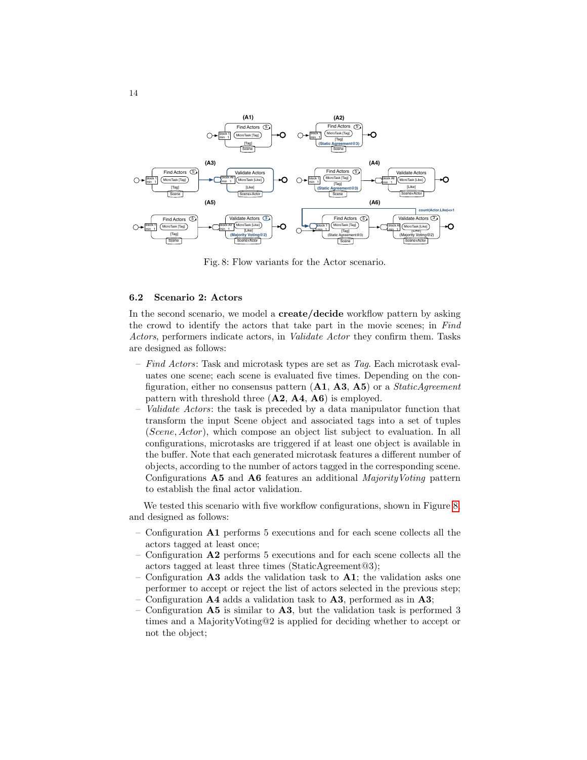<span id="page-13-0"></span>

Fig. 8: Flow variants for the Actor scenario.

#### 6.2 Scenario 2: Actors

In the second scenario, we model a create/decide workflow pattern by asking the crowd to identify the actors that take part in the movie scenes; in Find Actors, performers indicate actors, in Validate Actor they confirm them. Tasks are designed as follows:

- Find Actors: Task and microtask types are set as Tag. Each microtask evaluates one scene; each scene is evaluated five times. Depending on the configuration, either no consensus pattern  $(A1, A3, A5)$  or a *StaticAgreement* pattern with threshold three (A2, A4, A6) is employed.
- Validate Actors: the task is preceded by a data manipulator function that transform the input Scene object and associated tags into a set of tuples (Scene, Actor), which compose an object list subject to evaluation. In all configurations, microtasks are triggered if at least one object is available in the buffer. Note that each generated microtask features a different number of objects, according to the number of actors tagged in the corresponding scene. Configurations  $\bf{A5}$  and  $\bf{A6}$  features an additional *MajorityVoting* pattern to establish the final actor validation.

We tested this scenario with five workflow configurations, shown in Figure [8,](#page-13-0) and designed as follows:

- Configuration A1 performs 5 executions and for each scene collects all the actors tagged at least once;
- Configuration  $\mathbf{A2}$  performs 5 executions and for each scene collects all the actors tagged at least three times (StaticAgreement@3);
- Configuration  $\bf{A3}$  adds the validation task to  $\bf{A1}$ ; the validation asks one performer to accept or reject the list of actors selected in the previous step;
- Configuration  $\mathbf{A4}$  adds a validation task to  $\mathbf{A3}$ , performed as in  $\mathbf{A3}$ ;
- Configuration  $\mathbf{A5}$  is similar to  $\mathbf{A3}$ , but the validation task is performed 3 times and a MajorityVoting@2 is applied for deciding whether to accept or not the object;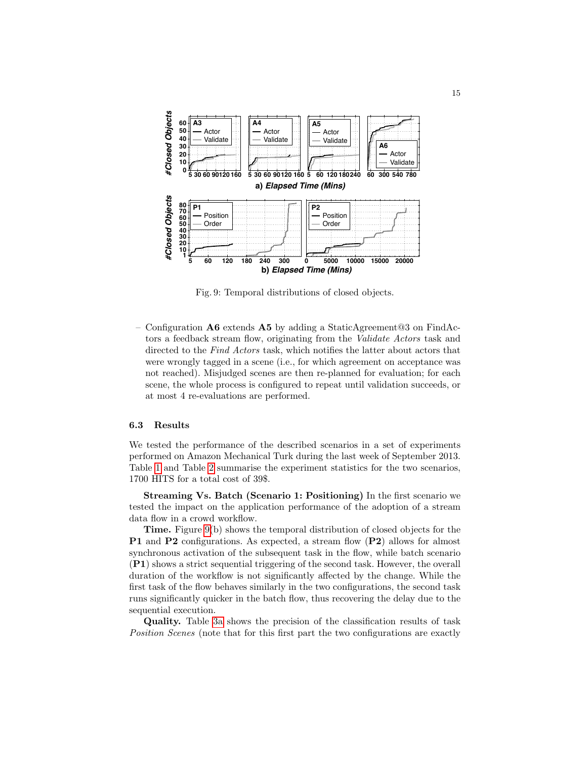<span id="page-14-1"></span>

Fig. 9: Temporal distributions of closed objects.

– Configuration  $\overline{A6}$  extends  $\overline{A5}$  by adding a StaticAgreement@3 on FindActors a feedback stream flow, originating from the Validate Actors task and directed to the Find Actors task, which notifies the latter about actors that were wrongly tagged in a scene (i.e., for which agreement on acceptance was not reached). Misjudged scenes are then re-planned for evaluation; for each scene, the whole process is configured to repeat until validation succeeds, or at most 4 re-evaluations are performed.

#### <span id="page-14-0"></span>6.3 Results

We tested the performance of the described scenarios in a set of experiments performed on Amazon Mechanical Turk during the last week of September 2013. Table [1](#page-11-1) and Table [2](#page-12-0) summarise the experiment statistics for the two scenarios, 1700 HITS for a total cost of 39\$.

Streaming Vs. Batch (Scenario 1: Positioning) In the first scenario we tested the impact on the application performance of the adoption of a stream data flow in a crowd workflow.

Time. Figure [9\(](#page-14-1)b) shows the temporal distribution of closed objects for the P1 and P2 configurations. As expected, a stream flow (P2) allows for almost synchronous activation of the subsequent task in the flow, while batch scenario (P1) shows a strict sequential triggering of the second task. However, the overall duration of the workflow is not significantly affected by the change. While the first task of the flow behaves similarly in the two configurations, the second task runs significantly quicker in the batch flow, thus recovering the delay due to the sequential execution.

Quality. Table [3a](#page-15-0) shows the precision of the classification results of task Position Scenes (note that for this first part the two configurations are exactly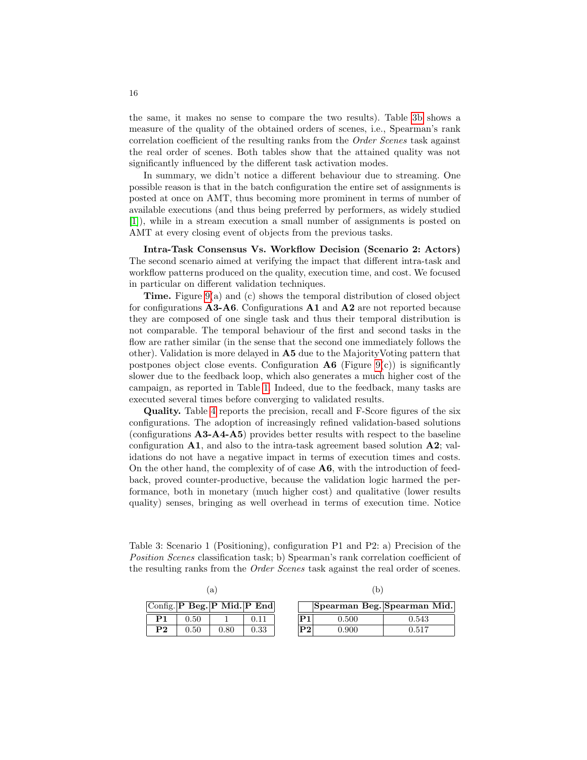the same, it makes no sense to compare the two results). Table [3b](#page-15-0) shows a measure of the quality of the obtained orders of scenes, i.e., Spearman's rank correlation coefficient of the resulting ranks from the Order Scenes task against the real order of scenes. Both tables show that the attained quality was not significantly influenced by the different task activation modes.

In summary, we didn't notice a different behaviour due to streaming. One possible reason is that in the batch configuration the entire set of assignments is posted at once on AMT, thus becoming more prominent in terms of number of available executions (and thus being preferred by performers, as widely studied [\[1\]](#page-16-0)), while in a stream execution a small number of assignments is posted on AMT at every closing event of objects from the previous tasks.

Intra-Task Consensus Vs. Workflow Decision (Scenario 2: Actors) The second scenario aimed at verifying the impact that different intra-task and workflow patterns produced on the quality, execution time, and cost. We focused in particular on different validation techniques.

Time. Figure [9\(](#page-14-1)a) and (c) shows the temporal distribution of closed object for configurations A3-A6. Configurations A1 and A2 are not reported because they are composed of one single task and thus their temporal distribution is not comparable. The temporal behaviour of the first and second tasks in the flow are rather similar (in the sense that the second one immediately follows the other). Validation is more delayed in A5 due to the MajorityVoting pattern that postpones object close events. Configuration  $\mathbf{A6}$  (Figure [9\(](#page-14-1)c)) is significantly slower due to the feedback loop, which also generates a much higher cost of the campaign, as reported in Table [1.](#page-11-1) Indeed, due to the feedback, many tasks are executed several times before converging to validated results.

Quality. Table [4](#page-16-4) reports the precision, recall and F-Score figures of the six configurations. The adoption of increasingly refined validation-based solutions (configurations A3-A4-A5) provides better results with respect to the baseline configuration  $\mathbf{A}1$ , and also to the intra-task agreement based solution  $\mathbf{A}2$ ; validations do not have a negative impact in terms of execution times and costs. On the other hand, the complexity of of case  $A6$ , with the introduction of feedback, proved counter-productive, because the validation logic harmed the performance, both in monetary (much higher cost) and qualitative (lower results quality) senses, bringing as well overhead in terms of execution time. Notice

<span id="page-15-0"></span>Table 3: Scenario 1 (Positioning), configuration P1 and P2: a) Precision of the Position Scenes classification task; b) Spearman's rank correlation coefficient of the resulting ranks from the *Order Scenes* task against the real order of scenes.

|                |            | a                                    |            |    | <sub>D</sub> |                             |  |  |  |
|----------------|------------|--------------------------------------|------------|----|--------------|-----------------------------|--|--|--|
|                |            | $ Config. P$ Beg. $ P$ Mid. $ P$ End |            |    |              | Spearman Beg. Spearman Mid. |  |  |  |
| P1             | $0.50\,$   |                                      |            | D. | 0.500        | 0.543                       |  |  |  |
| P <sub>2</sub> | $\rm 0.50$ | ).80                                 | $\rm 0.33$ | D۹ | 0.900        | 0.517                       |  |  |  |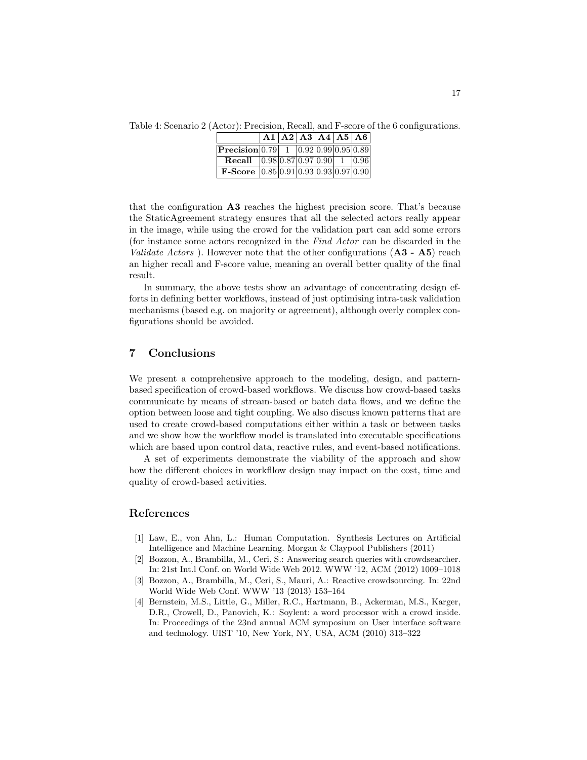<span id="page-16-4"></span>Table 4: Scenario 2 (Actor): Precision, Recall, and F-score of the 6 configurations.

|                                                  | A1   A2   A3   A4   A5   A6 |  |  |
|--------------------------------------------------|-----------------------------|--|--|
| $ Precision 0.79  1  0.92 0.99 0.95 0.89 $       |                             |  |  |
| <b>Recall</b> $ 0.98 0.87 0.97 0.90 $ 1 $ 0.96 $ |                             |  |  |
| <b>F-Score</b> $ 0.85 0.91 0.93 0.93 0.97 0.90 $ |                             |  |  |

that the configuration A3 reaches the highest precision score. That's because the StaticAgreement strategy ensures that all the selected actors really appear in the image, while using the crowd for the validation part can add some errors (for instance some actors recognized in the Find Actor can be discarded in the Validate Actors ). However note that the other configurations  $(A3 - A5)$  reach an higher recall and F-score value, meaning an overall better quality of the final result.

In summary, the above tests show an advantage of concentrating design efforts in defining better workflows, instead of just optimising intra-task validation mechanisms (based e.g. on majority or agreement), although overly complex configurations should be avoided.

# 7 Conclusions

We present a comprehensive approach to the modeling, design, and patternbased specification of crowd-based workflows. We discuss how crowd-based tasks communicate by means of stream-based or batch data flows, and we define the option between loose and tight coupling. We also discuss known patterns that are used to create crowd-based computations either within a task or between tasks and we show how the workflow model is translated into executable specifications which are based upon control data, reactive rules, and event-based notifications.

A set of experiments demonstrate the viability of the approach and show how the different choices in workfllow design may impact on the cost, time and quality of crowd-based activities.

# References

- <span id="page-16-0"></span>[1] Law, E., von Ahn, L.: Human Computation. Synthesis Lectures on Artificial Intelligence and Machine Learning. Morgan & Claypool Publishers (2011)
- <span id="page-16-1"></span>[2] Bozzon, A., Brambilla, M., Ceri, S.: Answering search queries with crowdsearcher. In: 21st Int.l Conf. on World Wide Web 2012. WWW '12, ACM (2012) 1009–1018
- <span id="page-16-2"></span>[3] Bozzon, A., Brambilla, M., Ceri, S., Mauri, A.: Reactive crowdsourcing. In: 22nd World Wide Web Conf. WWW '13 (2013) 153–164
- <span id="page-16-3"></span>[4] Bernstein, M.S., Little, G., Miller, R.C., Hartmann, B., Ackerman, M.S., Karger, D.R., Crowell, D., Panovich, K.: Soylent: a word processor with a crowd inside. In: Proceedings of the 23nd annual ACM symposium on User interface software and technology. UIST '10, New York, NY, USA, ACM (2010) 313–322